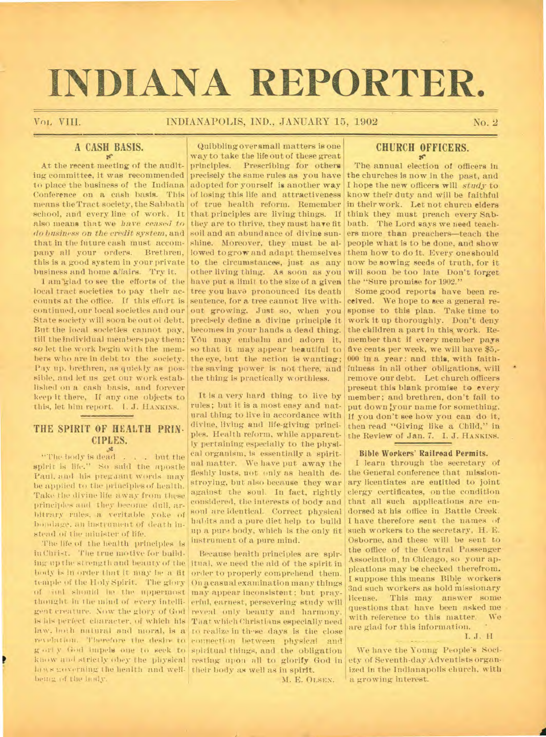# **INDIANA REPORTER.**

#### Vol, VIII. INDIANAPOLIS, IND., JANUARY 15, 1902 No. 2

## **A CASH BASIS.**

At the recent meeting of the auditing committee, it was recommended to place the business of the Indiana Conference on a cash basis. This of losing this life and attractiveness means the Tract society, the Sabbath of true health reform. Remember school, and every line of work. It that principles are living things. If think they must preach every Sabalso means that we *have ceased to* they are to thrive, they must have fit *do business on the credit system,* and soil and an abundance of divine sunthat in the future cash must accompany all your orders. Brethren, this is a good system in your private to the circumstances, just as any business and home affairs. Try it.

local tract societies to pay their accounts at the office. If this effort is continued, our local societies and our State society will soon be out oi debt. But the local societies cannot pay, till the individual members pay them; so let the work begin with the members who are in debt to the society. Pay up. brethren, as quickly as possible, and let us get our work established on a cash basis, and forever keep it there, If any one objects to this, let him report. I. J. HANKINS.

## **THE SPIRIT OF HEALTH PRIN. CIPLES.**

"The body is dead . . . but the spirit is life." So said the apostle Paul. and his pregaant words may be applied to the principles of health. Take the divine life away from these principles and they become (lull, arbitrary rules, a veritable yoke of bondage, an instrument of death instead of the minister of life.

The life of the health principles is in Christ. The true motive for building up the strength and beauty of the itual, we need the aid of the spirit in body is in order that it may be a fit order to properly comprehend them. temple of the Holy Spirit. The glory of ind should be the uppermost may appear inconsistent; but praythought in the mind of every intelli-erful, earnest, persevering study will gent creature. Now the glory of God reveal only beauty and harmony. is his perfect character, of which his That which Christians especially need law, both natural and moral, is a to realize in these days is the close revelation. Therefore the desire to connection between physical and g on y God impels one to seek to spiritual things, and the obligation know and strictly obey the physical resting upon all to glorify God in laws noverning the health and well- their body as well as in spirit. being **14** the liady.

I am glad to see the efforts of the have put a limit to the size of a given Quibbling over small matters is one way to take the life out of these great principles. Prescribing for others precisely the same rules as you have adopted for yourself is another way shine. Moreover, they must be allowed to grow and adapt themselves other living thing. As soon as you tree you have pronounced its death sentence, for a tree cannot live without growing. Just so, when you precisely define a divine principle it becomes in your hands a dead thing. You may embalm and adorn it, so that it may appear beautiful to the eye, but the action is wanting; the saving power is not there, and the thing is practically worthless.

> It is a very hard thing to live by rules; but it is a most easy and natural thing to live in accordance with divine, living and life-giving principles. Health reform, while apparently pertaining especially to the physical organism, is essentially a spiritnatmatter. We have put away the fleshly lusts, not only as health destroying, but also because they war against the soul. In fact, rightly considered, the interests of body and soul are identical. Correct physical habits and a pure diet help to build up a pure body, which is the only fit instrument of a pure mind.

> Because health principles are spir-On a casual examination many things M. E. OLSEN.

# **CHURCH OFFICERS.**

**sr**  The annual election of officers in the churches is now in the past, and I hope the new officers will *study* to know their duty and will be faithful in their work. Let not church elders bath. The Lord says we need teachers more than preachers—teach the people what is to be done, and show them how to do it. Every one should now be sowing seeds of truth, for it will soon be too late Don't forget the "Sure promise for 1902."

Some good reports have been received. We hope to see a general response to this plan. Take time to work it up thoroughly. Don't deny the children a part in this work. Remember that if every member pays five cents per week, we will have \$5,- 000 in a year: and this, with faithfulness in all other obligations, will remove our debt. Let church officers present this blank promise to every member; and brethren, don't fail to put down your name for something. If you don't see how you can do it, then read "Giving like a Child," in the Review of Jan. 7. I. J. HANKINS.

#### **Bible Workers' Railroad Permits.**

I learn through the secretary of the General conference that missionary licentiates are entitled to joint clergy certificates, on the condition that all such applications are endorsed at his office in Battle Creek. I have therefore sent the names of such workers to the secretary, H. E. Osborne, and these will be sent to the office of the Central Passenger Association, in Chicago, so your applcations may be checked therefrom. I suppose this means Bible workers 3nd such workers as hold missionary license. This may answer some questions that have been asked me with reference to this matter. We are glad for this information.

I. J. H

We have the Young People's Society of Seventh-day Adventists organized in the Indianapolis church, with a growing interest.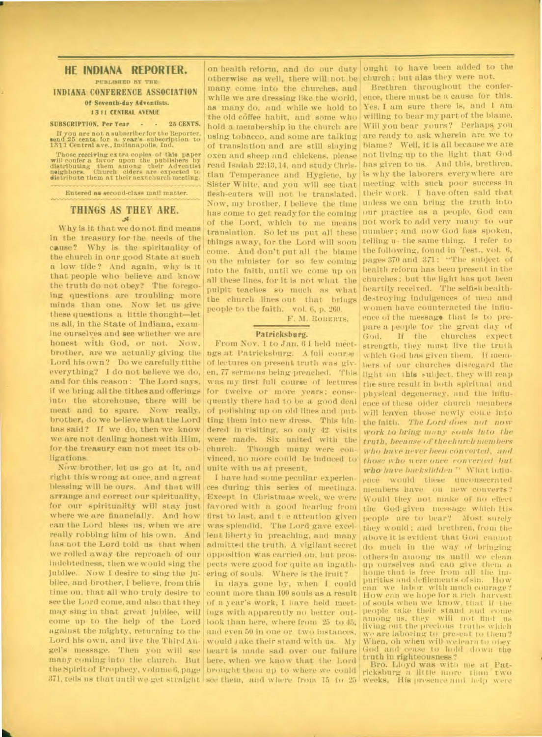#### **HE INDIANA REPORTER.**

**PUBLISHED BY THE INDIANA CONFERENCE ASSOCIATION**  Of Seventh-day Adventists.

## 1311 CENTRAL. AVENUE

SUBSCRIPTION, Per Year • • 25 CENTS.

If you are not a subscriber for the Reporter, send 25 cents for a year's subscription to 1311 Central ave., Indianapolis, Ind.

Those receiving extra copies of this paper will confer a favor upon the publishers by distributing them among their Adventist neighbors. Church elders are expected to distribute them at their next church meeting.

Entered as second-class mail matter.

# **THINGS AS THEY ARE.**

Why is it that we do not find means in the treasury for the needs of the cause? Why is the spirituality of the church in onr good State at such a low tide? And again, why is it that people who believe and know the truth do not obey? The foregoing questions are troubling more minds than one. Now let us give these questions a little thought—let us all, in the State of Indiana, examine ourselves and see whether we are honest with God, or not. Now, brother, are we actually giving- the Lord his own? Do we carefully tithe everything? I do not believe we do, and for this reason: The Lord says, if we bring all the tithes and offerings into the storehouse, there will be meat and to spare. Now really, brother, do we believe what the Lord has said? If we do, then we know we are not dealing honest with Him, for the treasury can not meet its obligations. \_

Now brother, let us go at it, and right this wrong at once, and agreat blessing will be ours. And that will arrange and correct our spirituality, for our spirituality will stay just where we are financially. And how can the Lord bless us, when we are really robbing him of his own. And has not the Lord told us that when we rolled away the reproach of our indebtedness, then we would sing the pects were good for quite an ingathjubilee. Now I desire to sing the ju- ering of souls. Where is the fruit? bilee, and brother, I believe, from this time on, that all who truly desire to count more than 100 souls as a result see the Lord come, and also that they of a year's work, I have held meetmay sing in that great jubilee, will ings with apparently no better outcome up to the help of the Lord look than here, where from 25 to 45, against the mighty, returning to the and even 50 in one or two **instances.**  Lord his own, and live the Third An- would take their stand with us. My gel's message. Then you will see heart is made sad over our failure many coming into the church. But bere, when we know that the Lord the Spirit of Prophecy, volume 6, page brought them up to where we could

on health reform, and do our duty otherwise as well, there will not be church; but alas they were not. many come into the churches, and while we are dressing like the world, as many do, and while we hold to the old coffee habit, and some who hold a membership in the church are using tobacco, and some are talking of translation and are still slaying oxen and sheep and chickens, please read Isaiah 22:13,14, and study Christian Temperance and Hygiene, by Sister White, and you will see that flesh-eaters will not be translated. Now-, my brother, I believe the time has come to get ready for the coming things away, for the Lord will soon come. And don't put all the blame on the minister for so few coming into the faith, until we come up on all these lines, for it is not what the pulpit teaches so much as what the church lines out that brings people to the faith. vol. 6, p. 260. F. M. ROBERTS.

#### **Pa trieksburg.**

From Nov. 1 to Jan. 6 I held meetngs at Patricksburg. A full course of lectures on present truth was given, 77 sermons being preached. This was my first full course of lectures for twelve or more years; consequently there had to be a good deal of polishing up on old lines and putting them into new dress. This hindered in visiting, so only 42 visits were made. Six united with the church. Though many were convinced, no more could be induced to unite with us at present,

I have had some peculiar experiences during this series of meetings. Except in Christmas week, we were favored with a good hearing from first to last, and the attention given was splendid. The Lord gave excellent liberty in preaching, and many admitted the truth. A vigilant secret opposition was carried on, but pros-

In days gone by, when I could

ought to have been added to the

of the Lord, which to me means not work to add very many to our translation. SO let us put all these number; and now God has spoken, Brethren throughout the conference, there must be a cause for this. Yes, I am sure there is, and I am willing to bear my part of the blame. Will you bear yours? Perhaps you are ready to ask wherein are we to blame? Well, it is all because we are not living up to the light that God has given to us. And this, brethren, is why the laborers everywhere are meeting with such poor success in their work. I have often said that unless we can bring the truth into our practice as a people, God can telling u • the same thing. I refer to the following, found in Test., vol. 6, pages 370 and 371: "The subject of health reform has been present in the churches; but the light has not been heartily received. The selfish healthdestroying indulgences of men and women have counteracted the influence of the message that is to prepare a people for the great day of God. If the churches expect strength, they must live the truth 'vhich God has given them. if members of our churches disregard the light on this subject, they will reap the sure result in both spiritual and physical degeneracy, and the influence of these older church members will leaven those newly cone into the faith. The Lord does not now *work to bring many .souls into the truth, because of theehurch members who have never been converted, and those who were once converted but who have backslidden "* What influence would these unconsecrated members have on new Converts? Would they not make of **no effect**  the God-given message which His people are to bear? Most surely they would; and brethren, from the above it is evident that God cannot do much in the way of bringing others in among us until we clean up ourselves and can give them a home that is free from all the linpurities and defilements of sin. can we labor with much courage? How can we hope for a rich harvest of souls when we know, that if the people take their stand and come among us, they will not find living out the precious truths which **We** are laboring.to present to them? When, oh when will we learn to obey God and cease to hold down the **truth in righteousness?** 

371, tells us that until we get straight see them, and where from 15 to 25 weeks. His presence and help were **Bro. Lloyd was** with me at Patricksburg a little more than two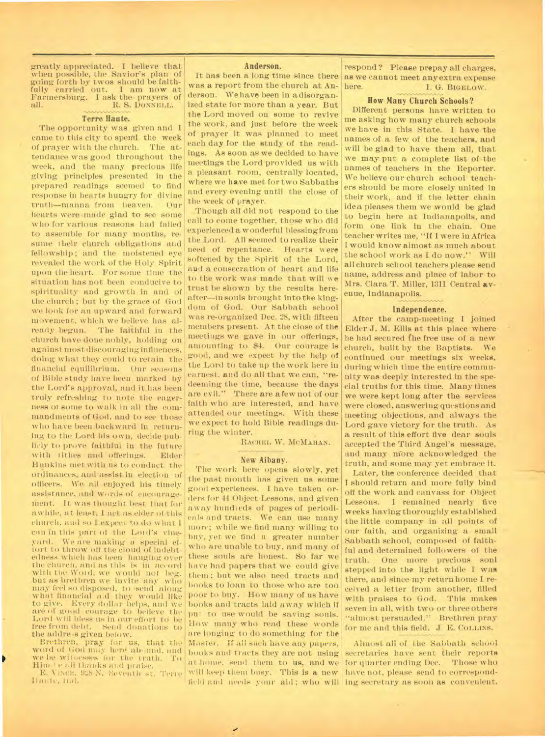greatly appreciated. **I** believe that when possible, the Savior's plan of going forth by twos should be faith-<br>fully carried out. I am now at fully carried out. Farmersburg. I ask the prayers of R. S. DONNELL.

#### **Terre Haute.**

**The** opportunity was given and I came to this city to spend the week<br>of prayer with the church. The atof prayer with the church. tendance was good throughout the week, and the many. precious life giving principles presented in the prepared readings seemed to find response in hearts hungry for divine<br>truth—manna from heaven. Our truth—manna from heaven. hearts were made glad to see some who for various reasons had failed to assemble for many months, resume their church obligations and fellowship; and the moistened eye revealed the work of the Holy Spirit upon the heart. For some time the situation has not been conducive to spirituality and growth in and of the church ; but by the grace of God we look for an upward and forward movement, which we believe has already begun. The faithful in the church have done nobly, holding on against most discouraging influences, doing what they could to retain the financial equilibrium. Our seasons of Bible study have been marked by the Lord's approval, and it has been truly refreshing to note the eagerness of some to walk in all the commandments of God, and to see those who have been backward in returning to the Lord his own, decide publicly to prove faithful in the future with tithes and offerings. Elder Hankins met with us to conduct the ordinances, and assist in election of officers. We all enjoyed his timely assistance, and words of encouragethent. **1t.** was thought. best that for awhile, at least, I act as elder of this church, and so I expect. to do what I can in this parr of the Lours vineyard. We are making a special effort to throw off the cloud of indebtedness which has been hanging over the church, and as this is in accord with the Word, we would not beg. but as brethren we invite any who may feel so disposed, to send along what financial aid they would like<br>to give. Every dollar helps, and we are of good courage to believe the Lord will bless us in our effort to be<br>free from debt. Send donations to Send donations to the addre-s given below.

Brethren, pray for us, that the word of God may here abound, and we be wit nesses for the truth. To Him te all thanks and praise.

E. ViNcE, iLS N. Seventh st. Terre liante, Ind.

#### **Anderson.**

was a report from the church at Anderson. We have been in a disorganized state for more than a year. But the Lord moved on some to revive the work, and just before the week of prayer it was planned to meet each day for the study of the readings. As soon as we decided to have meetings the Lord provided us with a pleasant room, centrally located, where we have met for two Sabbaths and every evening until the close of the week of prayer.

Though all did not respond to the call to come together, those who did experienced a wonderful blessing from the Lord. All seemed to realize their need of repentance. Hearts were softened by the Spirit of the Lord, and a consecration of heart and life to the work was made that will we trust be shown by the results hereafter-in souls brought into the kingdom of God. Our Sabbath school was re-organized Dec. 28, with fifteen members present. At the close of the meetings we gave in our offerings, amounting to \$4. Our courage is good, and we expect by the help of the Lord to take up the work here in earnest, and do all that we can, "redeeming the time, because the days are evil." There are a few not of our faith who are interested, and have attended our meetings. With these we expect to hold Bible readings during the winter.

RACHEL W. MCMAHAN.

#### **• New Albany.**

The work here opens slowly, yet the past month has given us some good experiences. I have taken orders for• 44 Object Lessons, and given away hundreds of pages of periodicals mid tracts. We can use many more; while we find many willing to hay, yet we find a greater number• who are unable to buy, and many of these souls are honest. So far we have had papers that we could give them; but we also need tracts and hooks to loan to those who are too poor to buy. How many of us have books and tracts laid away which if put to use would be saving souls. How many who read these words are longing to do something for the Master. If all such have any papers, books and tracts they are not using at home, send them to us, and we will keep them busy. This is a new

It has been a long time since there as we cannot meet any extra expense respond? Please prepay all charges, here. I. G. BIGELOW.

#### **How Many Church Schools?**

Different persons have written to me asking how many church schools we have in this State. 1 have the names of a few of the teachers, and will be glad to have them all, that we may put a complete list of the names of teachers in the Reporter. We believe our church school teachers should be more closely united in their work, and if the letter chain idea pleases them we would be glad to begin here at Indianapolis, and form one link in the chain. One teacher writes me, "If I were in Africa I would know almost as much about the school work as I do now." Will all church school teachers please send name, address and place of labor to Mrs. Clara T. Miller, 1311 Central **avenue,** Indianapolis.

#### **Independence.**

After the camp-meeting I joined Elder J. M. Ellis at this place where he had secured fhe free use of a new church, built by the Baptists. We continued our meetings six weeks, during which time the entire community was deeply interested in the special truths for this time. Many times we were kept long after the services were closed, answering questions and meeting objections, and always the Lord gave victory for the truth. As a result of this effort five dear souls accepted the Third Angel's message, and many more acknowledged the truth, and some may yet embrace it.

Later, the conference decided that I should return and more fully bind off the work and canvass for Object<br>Lessons. I remained nearly five I remained nearly five weeks having thoroughly established the little company in all points of our faith, and organizing a small Sabbath school, composed of faithful and determined followers of the truth. One more precious soul stepped into the light while I was there, and since my return home I received a letter from another, filled with praises to God. This makes seven in all, with two or three others "almost persuaded." Brethren pray for me and this field. J E. COLLINS.

field and needs your aid; who will ing secretary as soon as convenient. Almost all of the Sabbath school secretaries have sent their reports for quarter ending Dec. Those who have not, please send to correspond-